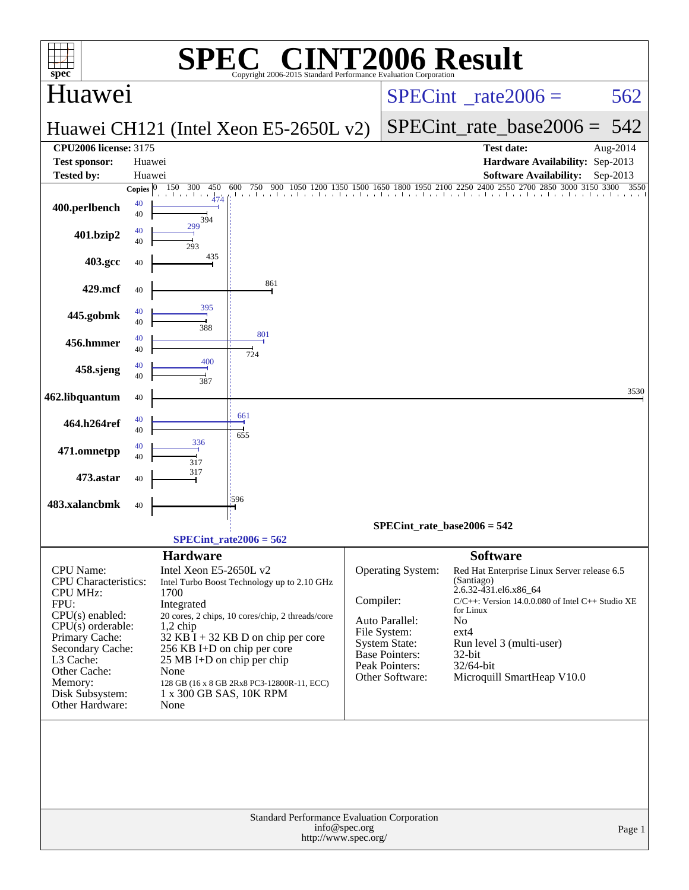| $spec^*$                                                                                                                                                                                                                          |                          |                                                                       | $\mathsf{I}$ '® $\bigcap$                                                                                                                                                                                                                                                               |               | Standard Performance Evaluation Corporation                                                                                                      | <b>NT2006 Result</b>                                                                                                                                                                                                                                                                  |                  |
|-----------------------------------------------------------------------------------------------------------------------------------------------------------------------------------------------------------------------------------|--------------------------|-----------------------------------------------------------------------|-----------------------------------------------------------------------------------------------------------------------------------------------------------------------------------------------------------------------------------------------------------------------------------------|---------------|--------------------------------------------------------------------------------------------------------------------------------------------------|---------------------------------------------------------------------------------------------------------------------------------------------------------------------------------------------------------------------------------------------------------------------------------------|------------------|
| Huawei                                                                                                                                                                                                                            |                          |                                                                       |                                                                                                                                                                                                                                                                                         |               | $SPECint^{\circ}$ rate $2006 =$                                                                                                                  | 562                                                                                                                                                                                                                                                                                   |                  |
|                                                                                                                                                                                                                                   |                          |                                                                       | Huawei CH121 (Intel Xeon E5-2650L v2)                                                                                                                                                                                                                                                   |               | $SPECint_rate_base2006 =$                                                                                                                        | 542                                                                                                                                                                                                                                                                                   |                  |
| <b>CPU2006 license: 3175</b><br><b>Test sponsor:</b>                                                                                                                                                                              | Huawei                   |                                                                       |                                                                                                                                                                                                                                                                                         |               |                                                                                                                                                  | <b>Test date:</b><br>Hardware Availability: Sep-2013                                                                                                                                                                                                                                  | Aug-2014         |
| <b>Tested by:</b>                                                                                                                                                                                                                 | Huawei                   | 150<br>300<br>450                                                     | 600<br>750<br>900<br>1200<br>1350                                                                                                                                                                                                                                                       |               |                                                                                                                                                  | <b>Software Availability:</b><br>1500 1650 1800 1950 2100 2250 2400 2550 2700<br>2850<br>3000 3150 3300                                                                                                                                                                               | Sep-2013<br>3550 |
| 400.perlbench                                                                                                                                                                                                                     | Copies $ 0 $<br>40<br>40 | all and the<br>394                                                    | 1 a v 1 a v 1 a v 1 a v 1 a v 1                                                                                                                                                                                                                                                         |               |                                                                                                                                                  |                                                                                                                                                                                                                                                                                       |                  |
| 401.bzip2                                                                                                                                                                                                                         | 40<br>40                 | 299<br>293                                                            |                                                                                                                                                                                                                                                                                         |               |                                                                                                                                                  |                                                                                                                                                                                                                                                                                       |                  |
| 403.gcc                                                                                                                                                                                                                           | 40                       | 435                                                                   |                                                                                                                                                                                                                                                                                         |               |                                                                                                                                                  |                                                                                                                                                                                                                                                                                       |                  |
| 429.mcf                                                                                                                                                                                                                           | 40                       |                                                                       | 861                                                                                                                                                                                                                                                                                     |               |                                                                                                                                                  |                                                                                                                                                                                                                                                                                       |                  |
| 445.gobmk                                                                                                                                                                                                                         | 40<br>40                 | 395<br>388                                                            |                                                                                                                                                                                                                                                                                         |               |                                                                                                                                                  |                                                                                                                                                                                                                                                                                       |                  |
| 456.hmmer                                                                                                                                                                                                                         | 40<br>40                 |                                                                       | 801<br>724                                                                                                                                                                                                                                                                              |               |                                                                                                                                                  |                                                                                                                                                                                                                                                                                       |                  |
| 458.sjeng                                                                                                                                                                                                                         | 40<br>40                 | 400<br>387                                                            |                                                                                                                                                                                                                                                                                         |               |                                                                                                                                                  |                                                                                                                                                                                                                                                                                       |                  |
| 462.libquantum                                                                                                                                                                                                                    | 40                       |                                                                       |                                                                                                                                                                                                                                                                                         |               |                                                                                                                                                  |                                                                                                                                                                                                                                                                                       | 3530             |
| 464.h264ref                                                                                                                                                                                                                       | 40<br>40                 |                                                                       | 661<br>655                                                                                                                                                                                                                                                                              |               |                                                                                                                                                  |                                                                                                                                                                                                                                                                                       |                  |
| 471.omnetpp                                                                                                                                                                                                                       | 40<br>40                 | 336<br>317                                                            |                                                                                                                                                                                                                                                                                         |               |                                                                                                                                                  |                                                                                                                                                                                                                                                                                       |                  |
| 473.astar                                                                                                                                                                                                                         | 40                       | 317                                                                   |                                                                                                                                                                                                                                                                                         |               |                                                                                                                                                  |                                                                                                                                                                                                                                                                                       |                  |
| 483.xalancbmk                                                                                                                                                                                                                     | 40                       |                                                                       | 596                                                                                                                                                                                                                                                                                     |               |                                                                                                                                                  |                                                                                                                                                                                                                                                                                       |                  |
|                                                                                                                                                                                                                                   |                          |                                                                       |                                                                                                                                                                                                                                                                                         |               | $SPECint_rate_base2006 = 542$                                                                                                                    |                                                                                                                                                                                                                                                                                       |                  |
|                                                                                                                                                                                                                                   |                          |                                                                       | $SPECint_rate2006 = 562$                                                                                                                                                                                                                                                                |               |                                                                                                                                                  |                                                                                                                                                                                                                                                                                       |                  |
| CPU Name:<br><b>CPU</b> Characteristics:<br><b>CPU MHz:</b><br>FPU:<br>CPU(s) enabled:<br>$CPU(s)$ orderable:<br>Primary Cache:<br>Secondary Cache:<br>L3 Cache:<br>Other Cache:<br>Memory:<br>Disk Subsystem:<br>Other Hardware: | 1700<br>None<br>None     | <b>Hardware</b><br>Intel Xeon E5-2650L v2<br>Integrated<br>$1,2$ chip | Intel Turbo Boost Technology up to 2.10 GHz<br>20 cores, 2 chips, 10 cores/chip, 2 threads/core<br>$32$ KB I + 32 KB D on chip per core<br>256 KB I+D on chip per core<br>$25 \text{ MB I+D}$ on chip per chip<br>128 GB (16 x 8 GB 2Rx8 PC3-12800R-11, ECC)<br>1 x 300 GB SAS, 10K RPM | Compiler:     | <b>Operating System:</b><br>Auto Parallel:<br>File System:<br><b>System State:</b><br><b>Base Pointers:</b><br>Peak Pointers:<br>Other Software: | <b>Software</b><br>Red Hat Enterprise Linux Server release 6.5<br>(Santiago)<br>2.6.32-431.el6.x86_64<br>C/C++: Version 14.0.0.080 of Intel C++ Studio XE<br>for Linux<br>N <sub>o</sub><br>$ext{4}$<br>Run level 3 (multi-user)<br>32-bit<br>32/64-bit<br>Microquill SmartHeap V10.0 |                  |
|                                                                                                                                                                                                                                   |                          |                                                                       | Standard Performance Evaluation Corporation                                                                                                                                                                                                                                             | info@spec.org |                                                                                                                                                  |                                                                                                                                                                                                                                                                                       | Page 1           |
|                                                                                                                                                                                                                                   |                          |                                                                       | http://www.spec.org/                                                                                                                                                                                                                                                                    |               |                                                                                                                                                  |                                                                                                                                                                                                                                                                                       |                  |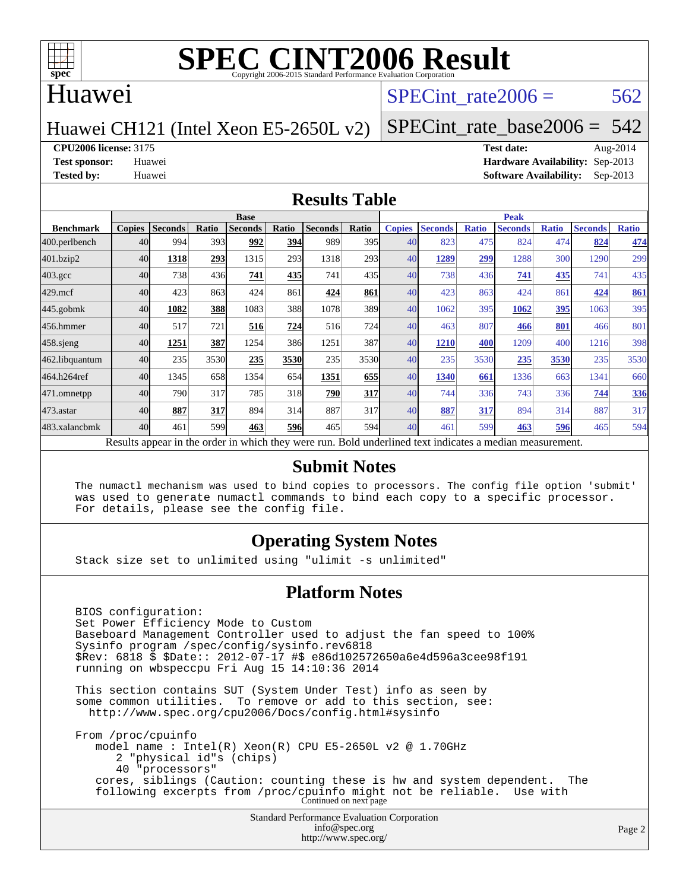

#### Huawei

#### SPECint rate $2006 = 562$

Huawei CH121 (Intel Xeon E5-2650L v2)

[SPECint\\_rate\\_base2006 =](http://www.spec.org/auto/cpu2006/Docs/result-fields.html#SPECintratebase2006)  $542$ 

**[CPU2006 license:](http://www.spec.org/auto/cpu2006/Docs/result-fields.html#CPU2006license)** 3175 **[Test date:](http://www.spec.org/auto/cpu2006/Docs/result-fields.html#Testdate)** Aug-2014

**[Test sponsor:](http://www.spec.org/auto/cpu2006/Docs/result-fields.html#Testsponsor)** Huawei **[Hardware Availability:](http://www.spec.org/auto/cpu2006/Docs/result-fields.html#HardwareAvailability)** Sep-2013 **[Tested by:](http://www.spec.org/auto/cpu2006/Docs/result-fields.html#Testedby)** Huawei **[Software Availability:](http://www.spec.org/auto/cpu2006/Docs/result-fields.html#SoftwareAvailability)** Sep-2013

#### **[Results Table](http://www.spec.org/auto/cpu2006/Docs/result-fields.html#ResultsTable)**

|                                                                                                          | <b>Base</b>   |                |       |                |            |                |                  | <b>Peak</b>   |                |              |                |              |                |              |
|----------------------------------------------------------------------------------------------------------|---------------|----------------|-------|----------------|------------|----------------|------------------|---------------|----------------|--------------|----------------|--------------|----------------|--------------|
| <b>Benchmark</b>                                                                                         | <b>Copies</b> | <b>Seconds</b> | Ratio | <b>Seconds</b> | Ratio      | <b>Seconds</b> | Ratio            | <b>Copies</b> | <b>Seconds</b> | <b>Ratio</b> | <b>Seconds</b> | <b>Ratio</b> | <b>Seconds</b> | <b>Ratio</b> |
| 400.perlbench                                                                                            | 40            | 994            | 393   | 992            | 394        | 989            | 395 <sub>l</sub> | 40            | 823            | 475          | 824            | 474          | 824            | 474          |
| 401.bzip2                                                                                                | 40            | 1318           | 293   | 1315           | 293        | 1318           | 293              | 40            | 1289           | 299          | 1288           | 300          | 1290           | 299          |
| $403.\mathrm{gcc}$                                                                                       | 40            | 738            | 436   | 741            | 435        | 741            | 435              | 40            | 738            | 436          | 741            | 435          | 741            | 435          |
| $429$ .mcf                                                                                               | 40            | 423            | 863   | 424            | 861        | 424            | 861              | 40            | 423            | 863          | 424            | 861          | 424            | 861          |
| $445$ .gobmk                                                                                             | 40            | 1082           | 388   | 1083           | 388        | 1078           | 389              | 40            | 1062           | 395          | 1062           | <u>395</u>   | 1063           | 395          |
| 456.hmmer                                                                                                | 40            | 517            | 721   | 516            | 724        | 516            | 724              | 40            | 463            | 807          | 466            | 801          | 466            | 801          |
| $458$ .sjeng                                                                                             | 40            | 1251           | 387   | 1254           | 386        | 1251           | 387              | 40            | 1210           | 400          | 1209           | 400          | 1216           | 398          |
| 462.libquantum                                                                                           | 40            | 235            | 3530  | 235            | 3530       | 235            | 3530             | 40            | 235            | 3530         | 235            | 3530         | 235            | 3530         |
| 464.h264ref                                                                                              | 40            | 1345           | 658   | 1354           | 654        | 1351           | 655              | 40            | 1340           | 661          | 1336           | 663          | 1341           | 660          |
| 471.omnetpp                                                                                              | 40            | 790            | 317   | 785            | 318        | 790            | 317              | 40            | 744            | 336          | 743            | 336          | 744            | 336          |
| $473$ . astar                                                                                            | 40            | 887            | 317   | 894            | 314        | 887            | 317              | 40            | 887            | 317          | 894            | 314          | 887            | 317          |
| 483.xalancbmk                                                                                            | 40            | 461            | 599   | 463            | <b>596</b> | 465            | 594              | 40            | 461            | 599          | 463            | 596          | 465            | 594          |
| Results appear in the order in which they were run. Bold underlined text indicates a median measurement. |               |                |       |                |            |                |                  |               |                |              |                |              |                |              |

#### **[Submit Notes](http://www.spec.org/auto/cpu2006/Docs/result-fields.html#SubmitNotes)**

 The numactl mechanism was used to bind copies to processors. The config file option 'submit' was used to generate numactl commands to bind each copy to a specific processor. For details, please see the config file.

#### **[Operating System Notes](http://www.spec.org/auto/cpu2006/Docs/result-fields.html#OperatingSystemNotes)**

Stack size set to unlimited using "ulimit -s unlimited"

#### **[Platform Notes](http://www.spec.org/auto/cpu2006/Docs/result-fields.html#PlatformNotes)**

 BIOS configuration: Set Power Efficiency Mode to Custom Baseboard Management Controller used to adjust the fan speed to 100% Sysinfo program /spec/config/sysinfo.rev6818 \$Rev: 6818 \$ \$Date:: 2012-07-17 #\$ e86d102572650a6e4d596a3cee98f191 running on wbspeccpu Fri Aug 15 14:10:36 2014 This section contains SUT (System Under Test) info as seen by some common utilities. To remove or add to this section, see: <http://www.spec.org/cpu2006/Docs/config.html#sysinfo> From /proc/cpuinfo model name : Intel(R) Xeon(R) CPU E5-2650L v2 @ 1.70GHz 2 "physical id"s (chips)

 40 "processors" cores, siblings (Caution: counting these is hw and system dependent. The following excerpts from /proc/cpuinfo might not be reliable. Use with Continued on next page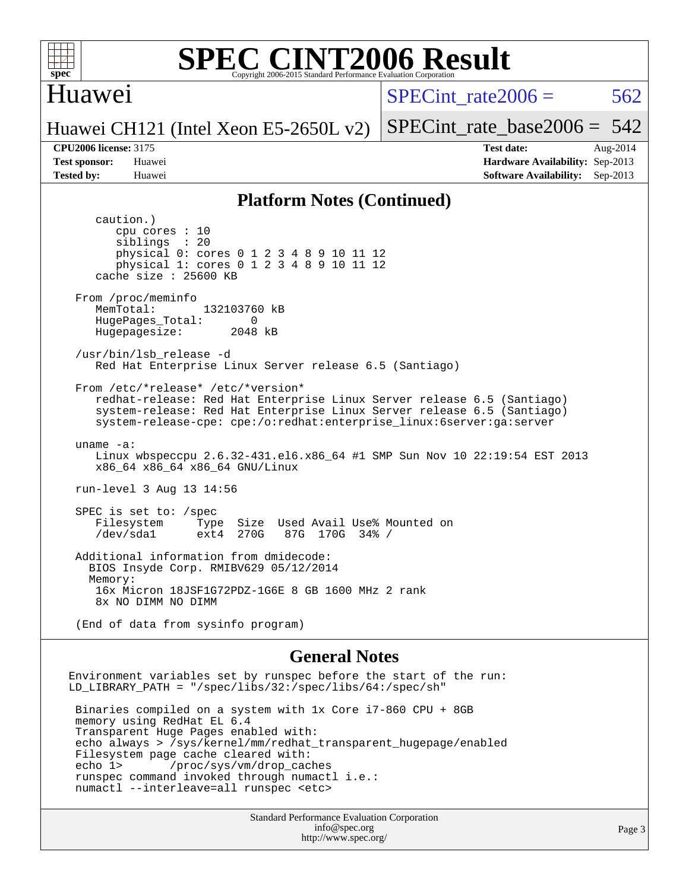

#### Huawei

SPECint rate $2006 = 562$ 

[SPECint\\_rate\\_base2006 =](http://www.spec.org/auto/cpu2006/Docs/result-fields.html#SPECintratebase2006) 542

#### Huawei CH121 (Intel Xeon E5-2650L v2)

**[Tested by:](http://www.spec.org/auto/cpu2006/Docs/result-fields.html#Testedby)** Huawei **[Software Availability:](http://www.spec.org/auto/cpu2006/Docs/result-fields.html#SoftwareAvailability)** Sep-2013

**[CPU2006 license:](http://www.spec.org/auto/cpu2006/Docs/result-fields.html#CPU2006license)** 3175 **[Test date:](http://www.spec.org/auto/cpu2006/Docs/result-fields.html#Testdate)** Aug-2014 **[Test sponsor:](http://www.spec.org/auto/cpu2006/Docs/result-fields.html#Testsponsor)** Huawei **[Hardware Availability:](http://www.spec.org/auto/cpu2006/Docs/result-fields.html#HardwareAvailability)** Sep-2013

#### **[Platform Notes \(Continued\)](http://www.spec.org/auto/cpu2006/Docs/result-fields.html#PlatformNotes)**

 caution.) cpu cores : 10 siblings : 20 physical 0: cores 0 1 2 3 4 8 9 10 11 12 physical 1: cores 0 1 2 3 4 8 9 10 11 12 cache size : 25600 KB From /proc/meminfo MemTotal: 132103760 kB HugePages\_Total: 0<br>Hugepagesize: 2048 kB Hugepagesize: /usr/bin/lsb\_release -d Red Hat Enterprise Linux Server release 6.5 (Santiago) From /etc/\*release\* /etc/\*version\* redhat-release: Red Hat Enterprise Linux Server release 6.5 (Santiago) system-release: Red Hat Enterprise Linux Server release 6.5 (Santiago) system-release-cpe: cpe:/o:redhat:enterprise\_linux:6server:ga:server uname -a: Linux wbspeccpu 2.6.32-431.el6.x86\_64 #1 SMP Sun Nov 10 22:19:54 EST 2013 x86\_64 x86\_64 x86\_64 GNU/Linux run-level 3 Aug 13 14:56 SPEC is set to: /spec Filesystem Type Size Used Avail Use% Mounted on<br>
/dev/sda1 ext4 270G 87G 170G 34% / 87G 170G 34% / Additional information from dmidecode: BIOS Insyde Corp. RMIBV629 05/12/2014 Memory: 16x Micron 18JSF1G72PDZ-1G6E 8 GB 1600 MHz 2 rank 8x NO DIMM NO DIMM (End of data from sysinfo program) **[General Notes](http://www.spec.org/auto/cpu2006/Docs/result-fields.html#GeneralNotes)** Environment variables set by runspec before the start of the run:

LD\_LIBRARY\_PATH = "/spec/libs/32:/spec/libs/64:/spec/sh" Binaries compiled on a system with 1x Core i7-860 CPU + 8GB memory using RedHat EL 6.4 Transparent Huge Pages enabled with: echo always > /sys/kernel/mm/redhat\_transparent\_hugepage/enabled Filesystem page cache cleared with: echo 1> /proc/sys/vm/drop\_caches runspec command invoked through numactl i.e.: numactl --interleave=all runspec <etc>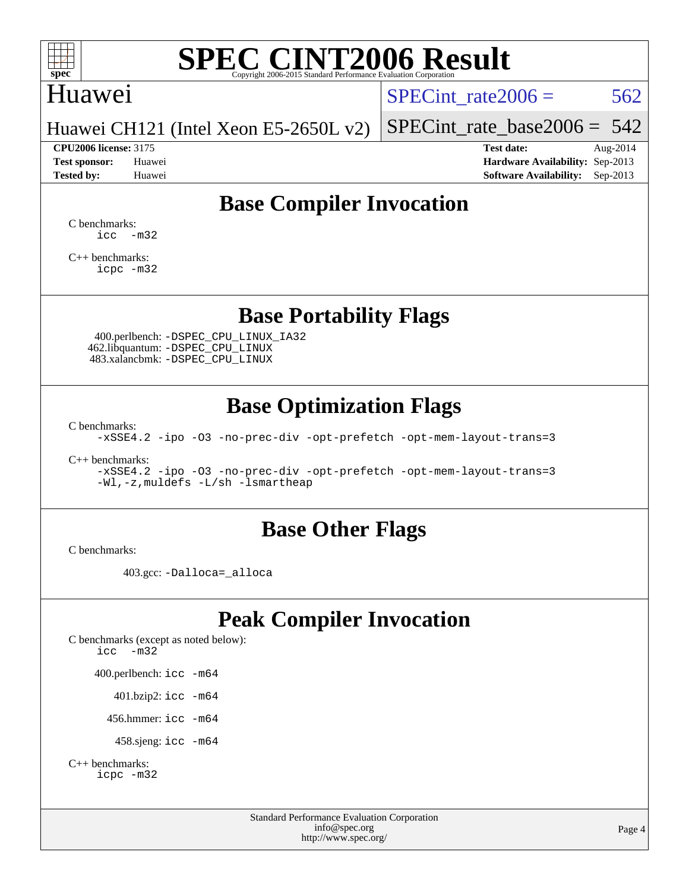

## Huawei

SPECint rate $2006 = 562$ 

Huawei CH121 (Intel Xeon E5-2650L v2)

**[CPU2006 license:](http://www.spec.org/auto/cpu2006/Docs/result-fields.html#CPU2006license)** 3175 **[Test date:](http://www.spec.org/auto/cpu2006/Docs/result-fields.html#Testdate)** Aug-2014

[SPECint\\_rate\\_base2006 =](http://www.spec.org/auto/cpu2006/Docs/result-fields.html#SPECintratebase2006)  $542$ 

**[Test sponsor:](http://www.spec.org/auto/cpu2006/Docs/result-fields.html#Testsponsor)** Huawei **[Hardware Availability:](http://www.spec.org/auto/cpu2006/Docs/result-fields.html#HardwareAvailability)** Sep-2013 **[Tested by:](http://www.spec.org/auto/cpu2006/Docs/result-fields.html#Testedby)** Huawei **[Software Availability:](http://www.spec.org/auto/cpu2006/Docs/result-fields.html#SoftwareAvailability)** Sep-2013

## **[Base Compiler Invocation](http://www.spec.org/auto/cpu2006/Docs/result-fields.html#BaseCompilerInvocation)**

[C benchmarks](http://www.spec.org/auto/cpu2006/Docs/result-fields.html#Cbenchmarks):  $\text{icc}$   $-\text{m32}$ 

[C++ benchmarks:](http://www.spec.org/auto/cpu2006/Docs/result-fields.html#CXXbenchmarks) [icpc -m32](http://www.spec.org/cpu2006/results/res2014q3/cpu2006-20140829-31084.flags.html#user_CXXbase_intel_icpc_4e5a5ef1a53fd332b3c49e69c3330699)

### **[Base Portability Flags](http://www.spec.org/auto/cpu2006/Docs/result-fields.html#BasePortabilityFlags)**

 400.perlbench: [-DSPEC\\_CPU\\_LINUX\\_IA32](http://www.spec.org/cpu2006/results/res2014q3/cpu2006-20140829-31084.flags.html#b400.perlbench_baseCPORTABILITY_DSPEC_CPU_LINUX_IA32) 462.libquantum: [-DSPEC\\_CPU\\_LINUX](http://www.spec.org/cpu2006/results/res2014q3/cpu2006-20140829-31084.flags.html#b462.libquantum_baseCPORTABILITY_DSPEC_CPU_LINUX) 483.xalancbmk: [-DSPEC\\_CPU\\_LINUX](http://www.spec.org/cpu2006/results/res2014q3/cpu2006-20140829-31084.flags.html#b483.xalancbmk_baseCXXPORTABILITY_DSPEC_CPU_LINUX)

### **[Base Optimization Flags](http://www.spec.org/auto/cpu2006/Docs/result-fields.html#BaseOptimizationFlags)**

[C benchmarks](http://www.spec.org/auto/cpu2006/Docs/result-fields.html#Cbenchmarks):

[-xSSE4.2](http://www.spec.org/cpu2006/results/res2014q3/cpu2006-20140829-31084.flags.html#user_CCbase_f-xSSE42_f91528193cf0b216347adb8b939d4107) [-ipo](http://www.spec.org/cpu2006/results/res2014q3/cpu2006-20140829-31084.flags.html#user_CCbase_f-ipo) [-O3](http://www.spec.org/cpu2006/results/res2014q3/cpu2006-20140829-31084.flags.html#user_CCbase_f-O3) [-no-prec-div](http://www.spec.org/cpu2006/results/res2014q3/cpu2006-20140829-31084.flags.html#user_CCbase_f-no-prec-div) [-opt-prefetch](http://www.spec.org/cpu2006/results/res2014q3/cpu2006-20140829-31084.flags.html#user_CCbase_f-opt-prefetch) [-opt-mem-layout-trans=3](http://www.spec.org/cpu2006/results/res2014q3/cpu2006-20140829-31084.flags.html#user_CCbase_f-opt-mem-layout-trans_a7b82ad4bd7abf52556d4961a2ae94d5)

[C++ benchmarks:](http://www.spec.org/auto/cpu2006/Docs/result-fields.html#CXXbenchmarks)

[-xSSE4.2](http://www.spec.org/cpu2006/results/res2014q3/cpu2006-20140829-31084.flags.html#user_CXXbase_f-xSSE42_f91528193cf0b216347adb8b939d4107) [-ipo](http://www.spec.org/cpu2006/results/res2014q3/cpu2006-20140829-31084.flags.html#user_CXXbase_f-ipo) [-O3](http://www.spec.org/cpu2006/results/res2014q3/cpu2006-20140829-31084.flags.html#user_CXXbase_f-O3) [-no-prec-div](http://www.spec.org/cpu2006/results/res2014q3/cpu2006-20140829-31084.flags.html#user_CXXbase_f-no-prec-div) [-opt-prefetch](http://www.spec.org/cpu2006/results/res2014q3/cpu2006-20140829-31084.flags.html#user_CXXbase_f-opt-prefetch) [-opt-mem-layout-trans=3](http://www.spec.org/cpu2006/results/res2014q3/cpu2006-20140829-31084.flags.html#user_CXXbase_f-opt-mem-layout-trans_a7b82ad4bd7abf52556d4961a2ae94d5) [-Wl,-z,muldefs](http://www.spec.org/cpu2006/results/res2014q3/cpu2006-20140829-31084.flags.html#user_CXXbase_link_force_multiple1_74079c344b956b9658436fd1b6dd3a8a) [-L/sh -lsmartheap](http://www.spec.org/cpu2006/results/res2014q3/cpu2006-20140829-31084.flags.html#user_CXXbase_SmartHeap_32f6c82aa1ed9c52345d30cf6e4a0499)

#### **[Base Other Flags](http://www.spec.org/auto/cpu2006/Docs/result-fields.html#BaseOtherFlags)**

[C benchmarks](http://www.spec.org/auto/cpu2006/Docs/result-fields.html#Cbenchmarks):

403.gcc: [-Dalloca=\\_alloca](http://www.spec.org/cpu2006/results/res2014q3/cpu2006-20140829-31084.flags.html#b403.gcc_baseEXTRA_CFLAGS_Dalloca_be3056838c12de2578596ca5467af7f3)

### **[Peak Compiler Invocation](http://www.spec.org/auto/cpu2006/Docs/result-fields.html#PeakCompilerInvocation)**

[C benchmarks \(except as noted below\)](http://www.spec.org/auto/cpu2006/Docs/result-fields.html#Cbenchmarksexceptasnotedbelow): [icc -m32](http://www.spec.org/cpu2006/results/res2014q3/cpu2006-20140829-31084.flags.html#user_CCpeak_intel_icc_5ff4a39e364c98233615fdd38438c6f2) 400.perlbench: [icc -m64](http://www.spec.org/cpu2006/results/res2014q3/cpu2006-20140829-31084.flags.html#user_peakCCLD400_perlbench_intel_icc_64bit_bda6cc9af1fdbb0edc3795bac97ada53) 401.bzip2: [icc -m64](http://www.spec.org/cpu2006/results/res2014q3/cpu2006-20140829-31084.flags.html#user_peakCCLD401_bzip2_intel_icc_64bit_bda6cc9af1fdbb0edc3795bac97ada53)

456.hmmer: [icc -m64](http://www.spec.org/cpu2006/results/res2014q3/cpu2006-20140829-31084.flags.html#user_peakCCLD456_hmmer_intel_icc_64bit_bda6cc9af1fdbb0edc3795bac97ada53)

458.sjeng: [icc -m64](http://www.spec.org/cpu2006/results/res2014q3/cpu2006-20140829-31084.flags.html#user_peakCCLD458_sjeng_intel_icc_64bit_bda6cc9af1fdbb0edc3795bac97ada53)

```
C++ benchmarks: 
    icpc -m32
```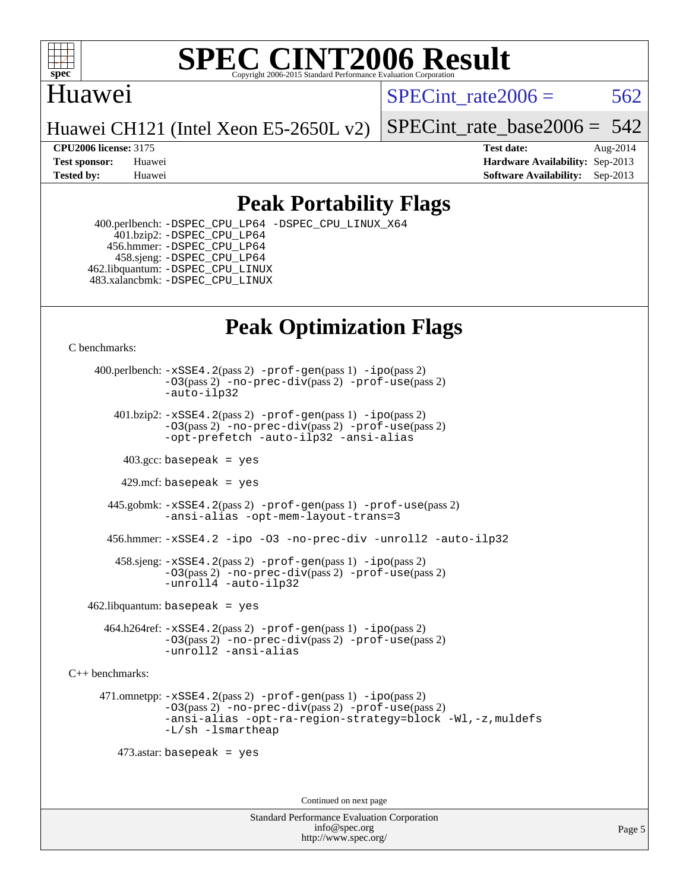

### Huawei

SPECint rate $2006 = 562$ 

Huawei CH121 (Intel Xeon E5-2650L v2)

[SPECint\\_rate\\_base2006 =](http://www.spec.org/auto/cpu2006/Docs/result-fields.html#SPECintratebase2006) 542

**[CPU2006 license:](http://www.spec.org/auto/cpu2006/Docs/result-fields.html#CPU2006license)** 3175 **[Test date:](http://www.spec.org/auto/cpu2006/Docs/result-fields.html#Testdate)** Aug-2014 **[Test sponsor:](http://www.spec.org/auto/cpu2006/Docs/result-fields.html#Testsponsor)** Huawei **[Hardware Availability:](http://www.spec.org/auto/cpu2006/Docs/result-fields.html#HardwareAvailability)** Sep-2013 **[Tested by:](http://www.spec.org/auto/cpu2006/Docs/result-fields.html#Testedby)** Huawei **[Software Availability:](http://www.spec.org/auto/cpu2006/Docs/result-fields.html#SoftwareAvailability)** Sep-2013

## **[Peak Portability Flags](http://www.spec.org/auto/cpu2006/Docs/result-fields.html#PeakPortabilityFlags)**

 400.perlbench: [-DSPEC\\_CPU\\_LP64](http://www.spec.org/cpu2006/results/res2014q3/cpu2006-20140829-31084.flags.html#b400.perlbench_peakCPORTABILITY_DSPEC_CPU_LP64) [-DSPEC\\_CPU\\_LINUX\\_X64](http://www.spec.org/cpu2006/results/res2014q3/cpu2006-20140829-31084.flags.html#b400.perlbench_peakCPORTABILITY_DSPEC_CPU_LINUX_X64) 401.bzip2: [-DSPEC\\_CPU\\_LP64](http://www.spec.org/cpu2006/results/res2014q3/cpu2006-20140829-31084.flags.html#suite_peakCPORTABILITY401_bzip2_DSPEC_CPU_LP64) 456.hmmer: [-DSPEC\\_CPU\\_LP64](http://www.spec.org/cpu2006/results/res2014q3/cpu2006-20140829-31084.flags.html#suite_peakCPORTABILITY456_hmmer_DSPEC_CPU_LP64) 458.sjeng: [-DSPEC\\_CPU\\_LP64](http://www.spec.org/cpu2006/results/res2014q3/cpu2006-20140829-31084.flags.html#suite_peakCPORTABILITY458_sjeng_DSPEC_CPU_LP64) 462.libquantum: [-DSPEC\\_CPU\\_LINUX](http://www.spec.org/cpu2006/results/res2014q3/cpu2006-20140829-31084.flags.html#b462.libquantum_peakCPORTABILITY_DSPEC_CPU_LINUX) 483.xalancbmk: [-DSPEC\\_CPU\\_LINUX](http://www.spec.org/cpu2006/results/res2014q3/cpu2006-20140829-31084.flags.html#b483.xalancbmk_peakCXXPORTABILITY_DSPEC_CPU_LINUX)

## **[Peak Optimization Flags](http://www.spec.org/auto/cpu2006/Docs/result-fields.html#PeakOptimizationFlags)**

[C benchmarks](http://www.spec.org/auto/cpu2006/Docs/result-fields.html#Cbenchmarks):

 400.perlbench: [-xSSE4.2](http://www.spec.org/cpu2006/results/res2014q3/cpu2006-20140829-31084.flags.html#user_peakPASS2_CFLAGSPASS2_LDCFLAGS400_perlbench_f-xSSE42_f91528193cf0b216347adb8b939d4107)(pass 2) [-prof-gen](http://www.spec.org/cpu2006/results/res2014q3/cpu2006-20140829-31084.flags.html#user_peakPASS1_CFLAGSPASS1_LDCFLAGS400_perlbench_prof_gen_e43856698f6ca7b7e442dfd80e94a8fc)(pass 1) [-ipo](http://www.spec.org/cpu2006/results/res2014q3/cpu2006-20140829-31084.flags.html#user_peakPASS2_CFLAGSPASS2_LDCFLAGS400_perlbench_f-ipo)(pass 2) [-O3](http://www.spec.org/cpu2006/results/res2014q3/cpu2006-20140829-31084.flags.html#user_peakPASS2_CFLAGSPASS2_LDCFLAGS400_perlbench_f-O3)(pass 2) [-no-prec-div](http://www.spec.org/cpu2006/results/res2014q3/cpu2006-20140829-31084.flags.html#user_peakPASS2_CFLAGSPASS2_LDCFLAGS400_perlbench_f-no-prec-div)(pass 2) [-prof-use](http://www.spec.org/cpu2006/results/res2014q3/cpu2006-20140829-31084.flags.html#user_peakPASS2_CFLAGSPASS2_LDCFLAGS400_perlbench_prof_use_bccf7792157ff70d64e32fe3e1250b55)(pass 2) [-auto-ilp32](http://www.spec.org/cpu2006/results/res2014q3/cpu2006-20140829-31084.flags.html#user_peakCOPTIMIZE400_perlbench_f-auto-ilp32)  $401.bzip2: -xSSE4.2(pass 2) -prof-qen(pass 1) -ipo(pass 2)$  $401.bzip2: -xSSE4.2(pass 2) -prof-qen(pass 1) -ipo(pass 2)$  $401.bzip2: -xSSE4.2(pass 2) -prof-qen(pass 1) -ipo(pass 2)$  $401.bzip2: -xSSE4.2(pass 2) -prof-qen(pass 1) -ipo(pass 2)$  $401.bzip2: -xSSE4.2(pass 2) -prof-qen(pass 1) -ipo(pass 2)$ [-O3](http://www.spec.org/cpu2006/results/res2014q3/cpu2006-20140829-31084.flags.html#user_peakPASS2_CFLAGSPASS2_LDCFLAGS401_bzip2_f-O3)(pass 2) [-no-prec-div](http://www.spec.org/cpu2006/results/res2014q3/cpu2006-20140829-31084.flags.html#user_peakPASS2_CFLAGSPASS2_LDCFLAGS401_bzip2_f-no-prec-div)(pass 2) [-prof-use](http://www.spec.org/cpu2006/results/res2014q3/cpu2006-20140829-31084.flags.html#user_peakPASS2_CFLAGSPASS2_LDCFLAGS401_bzip2_prof_use_bccf7792157ff70d64e32fe3e1250b55)(pass 2) [-opt-prefetch](http://www.spec.org/cpu2006/results/res2014q3/cpu2006-20140829-31084.flags.html#user_peakCOPTIMIZE401_bzip2_f-opt-prefetch) [-auto-ilp32](http://www.spec.org/cpu2006/results/res2014q3/cpu2006-20140829-31084.flags.html#user_peakCOPTIMIZE401_bzip2_f-auto-ilp32) [-ansi-alias](http://www.spec.org/cpu2006/results/res2014q3/cpu2006-20140829-31084.flags.html#user_peakCOPTIMIZE401_bzip2_f-ansi-alias)  $403.\text{sec: basepeak}$  = yes 429.mcf: basepeak = yes 445.gobmk: [-xSSE4.2](http://www.spec.org/cpu2006/results/res2014q3/cpu2006-20140829-31084.flags.html#user_peakPASS2_CFLAGSPASS2_LDCFLAGS445_gobmk_f-xSSE42_f91528193cf0b216347adb8b939d4107)(pass 2) [-prof-gen](http://www.spec.org/cpu2006/results/res2014q3/cpu2006-20140829-31084.flags.html#user_peakPASS1_CFLAGSPASS1_LDCFLAGS445_gobmk_prof_gen_e43856698f6ca7b7e442dfd80e94a8fc)(pass 1) [-prof-use](http://www.spec.org/cpu2006/results/res2014q3/cpu2006-20140829-31084.flags.html#user_peakPASS2_CFLAGSPASS2_LDCFLAGS445_gobmk_prof_use_bccf7792157ff70d64e32fe3e1250b55)(pass 2) [-ansi-alias](http://www.spec.org/cpu2006/results/res2014q3/cpu2006-20140829-31084.flags.html#user_peakCOPTIMIZE445_gobmk_f-ansi-alias) [-opt-mem-layout-trans=3](http://www.spec.org/cpu2006/results/res2014q3/cpu2006-20140829-31084.flags.html#user_peakCOPTIMIZE445_gobmk_f-opt-mem-layout-trans_a7b82ad4bd7abf52556d4961a2ae94d5) 456.hmmer: [-xSSE4.2](http://www.spec.org/cpu2006/results/res2014q3/cpu2006-20140829-31084.flags.html#user_peakCOPTIMIZE456_hmmer_f-xSSE42_f91528193cf0b216347adb8b939d4107) [-ipo](http://www.spec.org/cpu2006/results/res2014q3/cpu2006-20140829-31084.flags.html#user_peakCOPTIMIZE456_hmmer_f-ipo) [-O3](http://www.spec.org/cpu2006/results/res2014q3/cpu2006-20140829-31084.flags.html#user_peakCOPTIMIZE456_hmmer_f-O3) [-no-prec-div](http://www.spec.org/cpu2006/results/res2014q3/cpu2006-20140829-31084.flags.html#user_peakCOPTIMIZE456_hmmer_f-no-prec-div) [-unroll2](http://www.spec.org/cpu2006/results/res2014q3/cpu2006-20140829-31084.flags.html#user_peakCOPTIMIZE456_hmmer_f-unroll_784dae83bebfb236979b41d2422d7ec2) [-auto-ilp32](http://www.spec.org/cpu2006/results/res2014q3/cpu2006-20140829-31084.flags.html#user_peakCOPTIMIZE456_hmmer_f-auto-ilp32) 458.sjeng: [-xSSE4.2](http://www.spec.org/cpu2006/results/res2014q3/cpu2006-20140829-31084.flags.html#user_peakPASS2_CFLAGSPASS2_LDCFLAGS458_sjeng_f-xSSE42_f91528193cf0b216347adb8b939d4107)(pass 2) [-prof-gen](http://www.spec.org/cpu2006/results/res2014q3/cpu2006-20140829-31084.flags.html#user_peakPASS1_CFLAGSPASS1_LDCFLAGS458_sjeng_prof_gen_e43856698f6ca7b7e442dfd80e94a8fc)(pass 1) [-ipo](http://www.spec.org/cpu2006/results/res2014q3/cpu2006-20140829-31084.flags.html#user_peakPASS2_CFLAGSPASS2_LDCFLAGS458_sjeng_f-ipo)(pass 2) [-O3](http://www.spec.org/cpu2006/results/res2014q3/cpu2006-20140829-31084.flags.html#user_peakPASS2_CFLAGSPASS2_LDCFLAGS458_sjeng_f-O3)(pass 2) [-no-prec-div](http://www.spec.org/cpu2006/results/res2014q3/cpu2006-20140829-31084.flags.html#user_peakPASS2_CFLAGSPASS2_LDCFLAGS458_sjeng_f-no-prec-div)(pass 2) [-prof-use](http://www.spec.org/cpu2006/results/res2014q3/cpu2006-20140829-31084.flags.html#user_peakPASS2_CFLAGSPASS2_LDCFLAGS458_sjeng_prof_use_bccf7792157ff70d64e32fe3e1250b55)(pass 2) [-unroll4](http://www.spec.org/cpu2006/results/res2014q3/cpu2006-20140829-31084.flags.html#user_peakCOPTIMIZE458_sjeng_f-unroll_4e5e4ed65b7fd20bdcd365bec371b81f) [-auto-ilp32](http://www.spec.org/cpu2006/results/res2014q3/cpu2006-20140829-31084.flags.html#user_peakCOPTIMIZE458_sjeng_f-auto-ilp32)  $462$ .libquantum: basepeak = yes 464.h264ref: [-xSSE4.2](http://www.spec.org/cpu2006/results/res2014q3/cpu2006-20140829-31084.flags.html#user_peakPASS2_CFLAGSPASS2_LDCFLAGS464_h264ref_f-xSSE42_f91528193cf0b216347adb8b939d4107)(pass 2) [-prof-gen](http://www.spec.org/cpu2006/results/res2014q3/cpu2006-20140829-31084.flags.html#user_peakPASS1_CFLAGSPASS1_LDCFLAGS464_h264ref_prof_gen_e43856698f6ca7b7e442dfd80e94a8fc)(pass 1) [-ipo](http://www.spec.org/cpu2006/results/res2014q3/cpu2006-20140829-31084.flags.html#user_peakPASS2_CFLAGSPASS2_LDCFLAGS464_h264ref_f-ipo)(pass 2) [-O3](http://www.spec.org/cpu2006/results/res2014q3/cpu2006-20140829-31084.flags.html#user_peakPASS2_CFLAGSPASS2_LDCFLAGS464_h264ref_f-O3)(pass 2) [-no-prec-div](http://www.spec.org/cpu2006/results/res2014q3/cpu2006-20140829-31084.flags.html#user_peakPASS2_CFLAGSPASS2_LDCFLAGS464_h264ref_f-no-prec-div)(pass 2) [-prof-use](http://www.spec.org/cpu2006/results/res2014q3/cpu2006-20140829-31084.flags.html#user_peakPASS2_CFLAGSPASS2_LDCFLAGS464_h264ref_prof_use_bccf7792157ff70d64e32fe3e1250b55)(pass 2) [-unroll2](http://www.spec.org/cpu2006/results/res2014q3/cpu2006-20140829-31084.flags.html#user_peakCOPTIMIZE464_h264ref_f-unroll_784dae83bebfb236979b41d2422d7ec2) [-ansi-alias](http://www.spec.org/cpu2006/results/res2014q3/cpu2006-20140829-31084.flags.html#user_peakCOPTIMIZE464_h264ref_f-ansi-alias) [C++ benchmarks:](http://www.spec.org/auto/cpu2006/Docs/result-fields.html#CXXbenchmarks)

 471.omnetpp: [-xSSE4.2](http://www.spec.org/cpu2006/results/res2014q3/cpu2006-20140829-31084.flags.html#user_peakPASS2_CXXFLAGSPASS2_LDCXXFLAGS471_omnetpp_f-xSSE42_f91528193cf0b216347adb8b939d4107)(pass 2) [-prof-gen](http://www.spec.org/cpu2006/results/res2014q3/cpu2006-20140829-31084.flags.html#user_peakPASS1_CXXFLAGSPASS1_LDCXXFLAGS471_omnetpp_prof_gen_e43856698f6ca7b7e442dfd80e94a8fc)(pass 1) [-ipo](http://www.spec.org/cpu2006/results/res2014q3/cpu2006-20140829-31084.flags.html#user_peakPASS2_CXXFLAGSPASS2_LDCXXFLAGS471_omnetpp_f-ipo)(pass 2) [-O3](http://www.spec.org/cpu2006/results/res2014q3/cpu2006-20140829-31084.flags.html#user_peakPASS2_CXXFLAGSPASS2_LDCXXFLAGS471_omnetpp_f-O3)(pass 2) [-no-prec-div](http://www.spec.org/cpu2006/results/res2014q3/cpu2006-20140829-31084.flags.html#user_peakPASS2_CXXFLAGSPASS2_LDCXXFLAGS471_omnetpp_f-no-prec-div)(pass 2) [-prof-use](http://www.spec.org/cpu2006/results/res2014q3/cpu2006-20140829-31084.flags.html#user_peakPASS2_CXXFLAGSPASS2_LDCXXFLAGS471_omnetpp_prof_use_bccf7792157ff70d64e32fe3e1250b55)(pass 2) [-ansi-alias](http://www.spec.org/cpu2006/results/res2014q3/cpu2006-20140829-31084.flags.html#user_peakCXXOPTIMIZE471_omnetpp_f-ansi-alias) [-opt-ra-region-strategy=block](http://www.spec.org/cpu2006/results/res2014q3/cpu2006-20140829-31084.flags.html#user_peakCXXOPTIMIZE471_omnetpp_f-opt-ra-region-strategy_a0a37c372d03933b2a18d4af463c1f69) [-Wl,-z,muldefs](http://www.spec.org/cpu2006/results/res2014q3/cpu2006-20140829-31084.flags.html#user_peakEXTRA_LDFLAGS471_omnetpp_link_force_multiple1_74079c344b956b9658436fd1b6dd3a8a) [-L/sh -lsmartheap](http://www.spec.org/cpu2006/results/res2014q3/cpu2006-20140829-31084.flags.html#user_peakEXTRA_LIBS471_omnetpp_SmartHeap_32f6c82aa1ed9c52345d30cf6e4a0499)

473.astar: basepeak = yes

Continued on next page